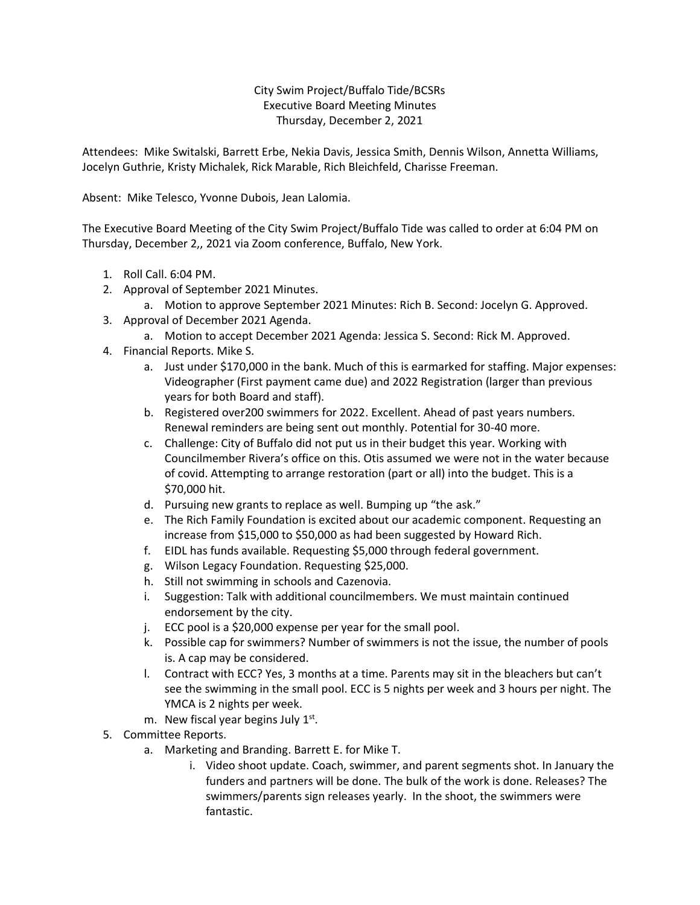City Swim Project/Buffalo Tide/BCSRs Executive Board Meeting Minutes Thursday, December 2, 2021

Attendees: Mike Switalski, Barrett Erbe, Nekia Davis, Jessica Smith, Dennis Wilson, Annetta Williams, Jocelyn Guthrie, Kristy Michalek, Rick Marable, Rich Bleichfeld, Charisse Freeman.

Absent: Mike Telesco, Yvonne Dubois, Jean Lalomia.

The Executive Board Meeting of the City Swim Project/Buffalo Tide was called to order at 6:04 PM on Thursday, December 2,, 2021 via Zoom conference, Buffalo, New York.

- 1. Roll Call. 6:04 PM.
- 2. Approval of September 2021 Minutes.
	- a. Motion to approve September 2021 Minutes: Rich B. Second: Jocelyn G. Approved.
- 3. Approval of December 2021 Agenda.
	- a. Motion to accept December 2021 Agenda: Jessica S. Second: Rick M. Approved.
- 4. Financial Reports. Mike S.
	- a. Just under \$170,000 in the bank. Much of this is earmarked for staffing. Major expenses: Videographer (First payment came due) and 2022 Registration (larger than previous years for both Board and staff).
	- b. Registered over200 swimmers for 2022. Excellent. Ahead of past years numbers. Renewal reminders are being sent out monthly. Potential for 30-40 more.
	- c. Challenge: City of Buffalo did not put us in their budget this year. Working with Councilmember Rivera's office on this. Otis assumed we were not in the water because of covid. Attempting to arrange restoration (part or all) into the budget. This is a \$70,000 hit.
	- d. Pursuing new grants to replace as well. Bumping up "the ask."
	- e. The Rich Family Foundation is excited about our academic component. Requesting an increase from \$15,000 to \$50,000 as had been suggested by Howard Rich.
	- f. EIDL has funds available. Requesting \$5,000 through federal government.
	- g. Wilson Legacy Foundation. Requesting \$25,000.
	- h. Still not swimming in schools and Cazenovia.
	- i. Suggestion: Talk with additional councilmembers. We must maintain continued endorsement by the city.
	- j. ECC pool is a \$20,000 expense per year for the small pool.
	- k. Possible cap for swimmers? Number of swimmers is not the issue, the number of pools is. A cap may be considered.
	- l. Contract with ECC? Yes, 3 months at a time. Parents may sit in the bleachers but can't see the swimming in the small pool. ECC is 5 nights per week and 3 hours per night. The YMCA is 2 nights per week.
	- m. New fiscal year begins July  $1<sup>st</sup>$ .
- 5. Committee Reports.
	- a. Marketing and Branding. Barrett E. for Mike T.
		- i. Video shoot update. Coach, swimmer, and parent segments shot. In January the funders and partners will be done. The bulk of the work is done. Releases? The swimmers/parents sign releases yearly. In the shoot, the swimmers were fantastic.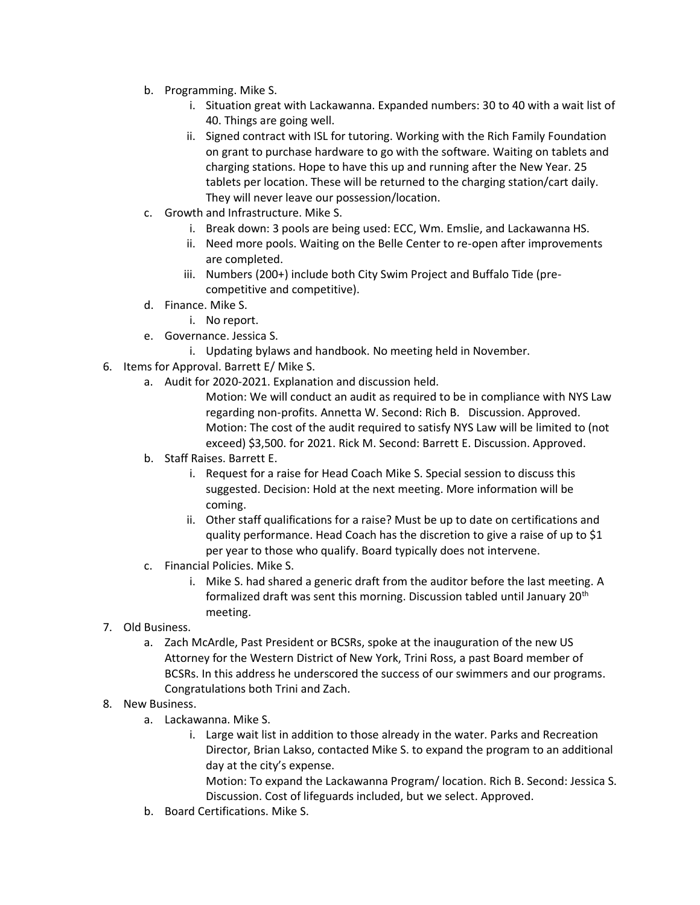- b. Programming. Mike S.
	- i. Situation great with Lackawanna. Expanded numbers: 30 to 40 with a wait list of 40. Things are going well.
	- ii. Signed contract with ISL for tutoring. Working with the Rich Family Foundation on grant to purchase hardware to go with the software. Waiting on tablets and charging stations. Hope to have this up and running after the New Year. 25 tablets per location. These will be returned to the charging station/cart daily. They will never leave our possession/location.
- c. Growth and Infrastructure. Mike S.
	- i. Break down: 3 pools are being used: ECC, Wm. Emslie, and Lackawanna HS.
	- ii. Need more pools. Waiting on the Belle Center to re-open after improvements are completed.
	- iii. Numbers (200+) include both City Swim Project and Buffalo Tide (precompetitive and competitive).
- d. Finance. Mike S.
	- i. No report.
- e. Governance. Jessica S.
	- i. Updating bylaws and handbook. No meeting held in November.
- 6. Items for Approval. Barrett E/ Mike S.
	- a. Audit for 2020-2021. Explanation and discussion held.

Motion: We will conduct an audit as required to be in compliance with NYS Law regarding non-profits. Annetta W. Second: Rich B. Discussion. Approved. Motion: The cost of the audit required to satisfy NYS Law will be limited to (not exceed) \$3,500. for 2021. Rick M. Second: Barrett E. Discussion. Approved.

- b. Staff Raises. Barrett E.
	- i. Request for a raise for Head Coach Mike S. Special session to discuss this suggested. Decision: Hold at the next meeting. More information will be coming.
	- ii. Other staff qualifications for a raise? Must be up to date on certifications and quality performance. Head Coach has the discretion to give a raise of up to \$1 per year to those who qualify. Board typically does not intervene.
- c. Financial Policies. Mike S.
	- i. Mike S. had shared a generic draft from the auditor before the last meeting. A formalized draft was sent this morning. Discussion tabled until January 20<sup>th</sup> meeting.
- 7. Old Business.
	- a. Zach McArdle, Past President or BCSRs, spoke at the inauguration of the new US Attorney for the Western District of New York, Trini Ross, a past Board member of BCSRs. In this address he underscored the success of our swimmers and our programs. Congratulations both Trini and Zach.
- 8. New Business.
	- a. Lackawanna. Mike S.
		- i. Large wait list in addition to those already in the water. Parks and Recreation Director, Brian Lakso, contacted Mike S. to expand the program to an additional day at the city's expense.

Motion: To expand the Lackawanna Program/ location. Rich B. Second: Jessica S. Discussion. Cost of lifeguards included, but we select. Approved.

b. Board Certifications. Mike S.